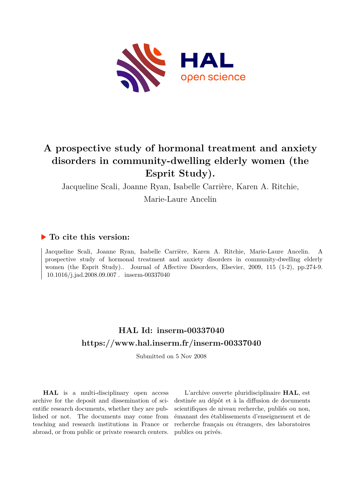

# **A prospective study of hormonal treatment and anxiety disorders in community-dwelling elderly women (the Esprit Study).**

Jacqueline Scali, Joanne Ryan, Isabelle Carrière, Karen A. Ritchie,

Marie-Laure Ancelin

# **To cite this version:**

Jacqueline Scali, Joanne Ryan, Isabelle Carrière, Karen A. Ritchie, Marie-Laure Ancelin. A prospective study of hormonal treatment and anxiety disorders in community-dwelling elderly women (the Esprit Study).. Journal of Affective Disorders, Elsevier, 2009, 115 (1-2), pp.274-9.  $10.1016/\mathrm{i}.j$ ad.2008.09.007 $.$  <code>inserm-00337040</code>

# **HAL Id: inserm-00337040 <https://www.hal.inserm.fr/inserm-00337040>**

Submitted on 5 Nov 2008

**HAL** is a multi-disciplinary open access archive for the deposit and dissemination of scientific research documents, whether they are published or not. The documents may come from teaching and research institutions in France or abroad, or from public or private research centers.

L'archive ouverte pluridisciplinaire **HAL**, est destinée au dépôt et à la diffusion de documents scientifiques de niveau recherche, publiés ou non, émanant des établissements d'enseignement et de recherche français ou étrangers, des laboratoires publics ou privés.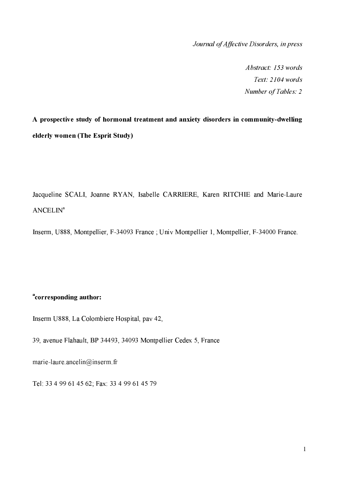Journal of Affective Disorders, in press

Abstract: 153 words Text: 2104 words Number of Tables: 2

A prospective study of hormonal treatment and anxiety disorders in community-dwelling elderly women (The Esprit Study)

Jacqueline SCALI, Joanne RYAN, Isabelle CARRIERE, Karen RITCHIE and Marie-Laure  $ANCELLIN<sup>a</sup>$ 

Inserm, U888, Montpellier, F-34093 France; Univ Montpellier 1, Montpellier, F-34000 France.

# <sup>a</sup>corresponding author:

Inserm U888, La Colombiere Hospital, pav 42,

39, avenue Flahault, BP 34493, 34093 Montpellier Cedex 5, France

marie-laure ancelin@inserm fr

Tel: 33 4 99 61 45 62; Fax: 33 4 99 61 45 79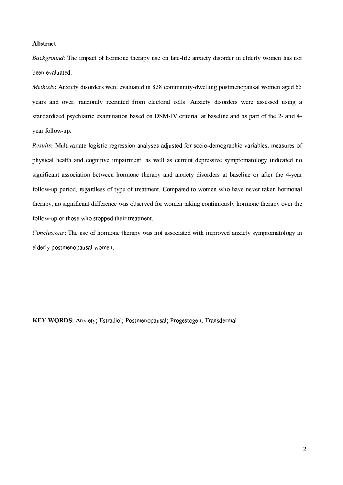## Abstract

*Background*: The impact of hormone therapy use on late-life anxiety disorder in elderly women has not been evaluated.

*Methods*: Anxiety disorders were evaluated in 838 community-dwelling postmenopausal women aged 65 years and over, randomly recruited from electoral rolls. Anxiety disorders were assessed using a standardized psychiatric examination based on DSM-IV criteria, at baseline and as part of the 2- and 4vear follow-up.

*Results:* Multivariate logistic regression analyses adjusted for socio-demographic variables, measures of physical health and cognitive impairment, as well as current depressive symptomatology indicated no significant association between hormone therapy and anxiety disorders at baseline or after the 4-year follow-up period, regardless of type of treatment. Compared to women who have never taken hormonal therapy, no significant difference was observed for women taking continuously hormone therapy over the follow-up or those who stopped their treatment.

Conclusions: The use of hormone therapy was not associated with improved anxiety symptomatology in elderly postmenopausal women.

KEY WORDS: Anxiety; Estradiol; Postmenopausal; Progestogen; Transdermal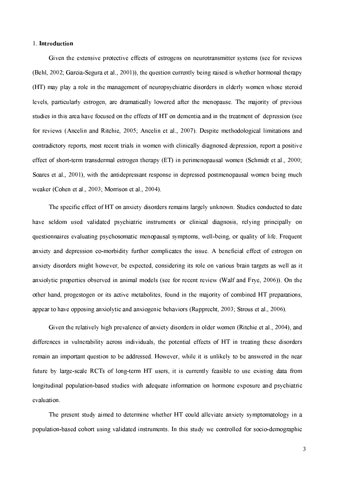# 1. Introduction

Given the extensive protective effects of estrogens on neurotransmitter systems (see for reviews (Behl, 2002; Garcia-Segura et al., 2001)), the question currently being raised is whether hormonal therapy (HT) may play a role in the management of neuropsychiatric disorders in elderly women whose steroid levels, particularly estrogen, are dramatically lowered after the menopause. The majority of previous studies in this area have focused on the effects of HT on dementia and in the treatment of depression (see for reviews (Ancelin and Ritchie, 2005; Ancelin et al., 2007). Despite methodological limitations and contradictory reports, most recent trials in women with clinically diagnosed depression, report a positive effect of short-term transdermal estrogen therapy (ET) in perimenopausal women (Schmidt et al., 2000; Soares et al., 2001), with the antidepressant response in depressed postmenopausal women being much weaker (Cohen et al., 2003; Morrison et al., 2004).

The specific effect of HT on anxiety disorders remains largely unknown. Studies conducted to date have seldom used validated psychiatric instruments or clinical diagnosis, relying principally on questionnaires evaluating psychosomatic menopausal symptoms, well-being, or quality of life. Frequent anxiety and depression co-morbidity further complicates the issue. A beneficial effect of estrogen on anxiety disorders might however, be expected, considering its role on various brain targets as well as it anxiolytic properties observed in animal models (see for recent review (Walf and Frye, 2006)). On the other hand, progestogen or its active metabolites, found in the majority of combined HT preparations, appear to have opposing anxiolytic and anxiogenic behaviors (Rupprecht, 2003; Strous et al., 2006).

Given the relatively high prevalence of anxiety disorders in older women (Ritchie et al., 2004), and differences in vulnerability across individuals, the potential effects of HT in treating these disorders remain an important question to be addressed. However, while it is unlikely to be answered in the near future by large-scale RCTs of long-term HT users, it is currently feasible to use existing data from longitudinal population-based studies with adequate information on hormone exposure and psychiatric evaluation.

The present study aimed to determine whether HT could alleviate anxiety symptomatology in a population-based cohort using validated instruments. In this study we controlled for socio-demographic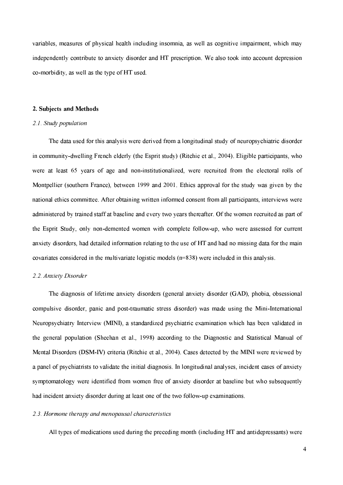variables, measures of physical health including insomnia, as well as cognitive impairment, which may independently contribute to anxiety disorder and HT prescription. We also took into account depression co-morbidity, as well as the type of HT used.

#### 2. Subjects and Methods

#### 2.1. Study population

The data used for this analysis were derived from a longitudinal study of neuropsychiatric disorder in community-dwelling French elderly (the Esprit study) (Ritchie et al., 2004). Eligible participants, who were at least 65 years of age and non-institutionalized, were recruited from the electoral rolls of Montpellier (southern France), between 1999 and 2001. Ethics approval for the study was given by the national ethics committee. After obtaining written informed consent from all participants, interviews were administered by trained staff at baseline and every two years thereafter. Of the women recruited as part of the Esprit Study, only non-demented women with complete follow-up, who were assessed for current anxiety disorders, had detailed information relating to the use of HT and had no missing data for the main covariates considered in the multivariate logistic models  $(n=838)$  were included in this analysis.

## 2.2. Anxiety Disorder

The diagnosis of lifetime anxiety disorders (general anxiety disorder (GAD), phobia, obsessional compulsive disorder, panic and post-traumatic stress disorder) was made using the Mini-International Neuropsychiatry Interview (MINI), a standardized psychiatric examination which has been validated in the general population (Sheehan et al., 1998) according to the Diagnostic and Statistical Manual of Mental Disorders (DSM-IV) criteria (Ritchie et al., 2004). Cases detected by the MINI were reviewed by a panel of psychiatrists to validate the initial diagnosis. In longitudinal analyses, incident cases of anxiety symptomatology were identified from women free of anxiety disorder at baseline but who subsequently had incident anxiety disorder during at least one of the two follow-up examinations.

# 2.3. Hormone therapy and menopausal characteristics

All types of medications used during the preceding month (including HT and antidepressants) were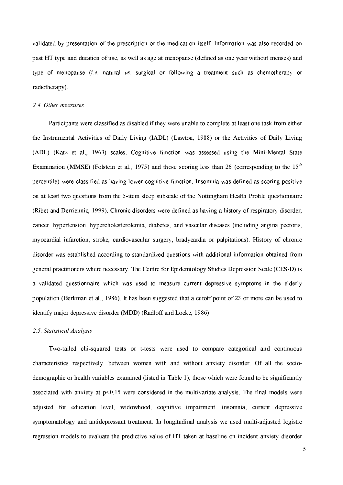validated by presentation of the prescription or the medication itself. Information was also recorded on past HT type and duration of use, as well as age at menopause (defined as one year without menses) and type of menopause *(i.e.* natural vs. surgical or following a treatment such as chemotherapy or radiotherapy).

## 2.4. Other measures

Participants were classified as disabled if they were unable to complete at least one task from either the Instrumental Activities of Daily Living (IADL) (Lawton, 1988) or the Activities of Daily Living (ADL) (Katz et al., 1963) scales. Cognitive function was assessed using the Mini-Mental State Examination (MMSE) (Folstein et al., 1975) and those scoring less than 26 (corresponding to the  $15<sup>th</sup>$ percentile) were classified as having lower cognitive function. Insomnia was defined as scoring positive on at least two questions from the 5-item sleep subscale of the Nottingham Health Profile questionnaire (Ribet and Derriennic, 1999). Chronic disorders were defined as having a history of respiratory disorder, cancer, hypertension, hypercholesterolemia, diabetes, and vascular diseases (including angina pectoris, myocardial infarction, stroke, cardiovascular surgery, bradycardia or palpitations). History of chronic disorder was established according to standardized questions with additional information obtained from general practitioners where necessary. The Centre for Epidemiology Studies Depression Scale (CES-D) is a validated questionnaire which was used to measure current depressive symptoms in the elderly population (Berkman et al., 1986). It has been suggested that a cutoff point of 23 or more can be used to identify major depressive disorder (MDD) (Radloff and Locke, 1986).

#### 2.5 Statistical Analysis

Two-tailed chi-squared tests or t-tests were used to compare categorical and continuous characteristics respectively, between women with and without anxiety disorder. Of all the sociodemographic or health variables examined (listed in Table 1), those which were found to be significantly associated with anxiety at  $p<0.15$  were considered in the multivariate analysis. The final models were adiusted for education level, widowhood, cognitive impairment, insomnia, current depressive symptomatology and antidepressant treatment. In longitudinal analysis we used multi-adjusted logistic regression models to evaluate the predictive value of HT taken at baseline on incident anxiety disorder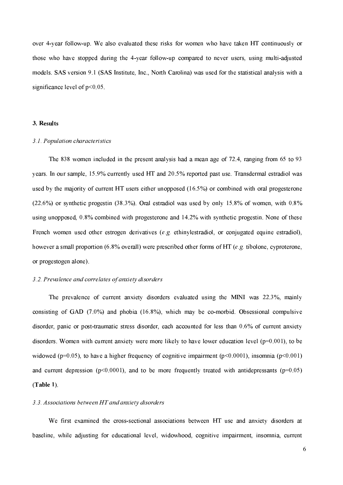over 4-year follow-up. We also evaluated these risks for women who have taken HT continuously or those who have stopped during the 4-year follow-up compared to never users, using multi-adjusted models. SAS version 9.1 (SAS Institute, Inc., North Carolina) was used for the statistical analysis with a significance level of  $p < 0.05$ .

## 3. Results

#### 3.1. Population characteristics

The 838 women included in the present analysis had a mean age of 72.4, ranging from 65 to 93 years. In our sample, 15.9% currently used HT and 20.5% reported past use. Transdermal estradiol was used by the majority of current HT users either unopposed (16.5%) or combined with oral progesterone  $(22.6%)$  or synthetic progestin  $(38.3%)$ . Oral estradiol was used by only 15.8% of women, with 0.8% using unopposed, 0.8% combined with progesterone and 14.2% with synthetic progestin. None of these French women used other estrogen derivatives (e.g. ethinylestradiol, or conjugated equine estradiol), however a small proportion (6.8% overall) were prescribed other forms of HT (e.g. tibolone, cyproterone, or progestogen alone).

#### 3.2. Prevalence and correlates of anxiety disorders

The prevalence of current anxiety disorders evaluated using the MINI was 22.3%, mainly consisting of GAD  $(7.0\%)$  and phobia  $(16.8\%)$ , which may be co-morbid. Obsessional compulsive disorder, panic or post-traumatic stress disorder, each accounted for less than 0.6% of current anxiety disorders. Women with current anxiety were more likely to have lower education level  $(p=0.001)$ , to be widowed ( $p=0.05$ ), to have a higher frequency of cognitive impairment ( $p<0.0001$ ), insomnia ( $p<0.001$ ) and current depression ( $p<0.0001$ ), and to be more frequently treated with antidepressants ( $p=0.05$ )  $(Table 1)$ .

#### 3.3. Associations between HT and anxiety disorders

We first examined the cross-sectional associations between HT use and anxiety disorders at baseline, while adjusting for educational level, widowhood, cognitive impairment, insomnia, current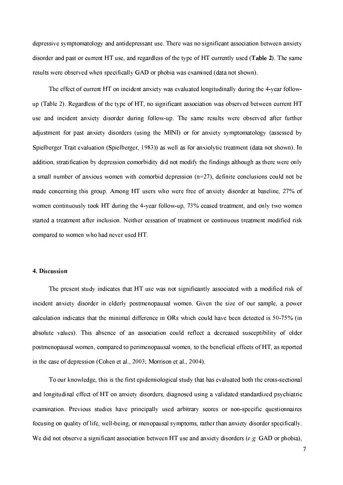depressive symptomatology and antidepressant use. There was no significant association between anxiety disorder and past or current HT use, and regardless of the type of HT currently used (Table 2). The same results were observed when specifically GAD or phobia was examined (data not shown).

The effect of current HT on incident anxiety was evaluated longitudinally during the 4-year followup (Table 2). Regardless of the type of HT, no significant association was observed between current HT use and incident anxiety disorder during follow-up. The same results were observed after further adjustment for past anxiety disorders (using the MINI) or for anxiety symptomatology (assessed by Spielberger Trait evaluation (Spielberger, 1983)) as well as for anxiolytic treatment (data not shown). In addition, stratification by depression comorbidity did not modify the findings although as there were only a small number of anxious women with comorbid depression  $(n=27)$ , definite conclusions could not be made concerning this group. Among HT users who were free of anxiety disorder at baseline, 27% of women continuously took HT during the 4-year follow-up, 73% ceased treatment, and only two women started a treatment after inclusion. Neither cessation of treatment or continuous treatment modified risk compared to women who had never used HT.

## 4. Discussion

The present study indicates that HT use was not significantly associated with a modified risk of incident anxiety disorder in elderly postmenopausal women. Given the size of our sample, a power calculation indicates that the minimal difference in ORs which could have been detected is 50-75% (in absolute values). This absence of an association could reflect a decreased susceptibility of older postmenopausal women, compared to perimenopausal women, to the beneficial effects of HT, as reported in the case of depression (Cohen et al., 2003; Morrison et al., 2004).

To our knowledge, this is the first epidemiological study that has evaluated both the cross-sectional and longitudinal effect of HT on anxiety disorders, diagnosed using a validated standardized psychiatric examination. Previous studies have principally used arbitrary scores or non-specific questionnaires focusing on quality of life, well-being, or menopausal symptoms, rather than anxiety disorder specifically. We did not observe a significant association between HT use and anxiety disorders  $(e, g, \overline{GAD})$  or phobia).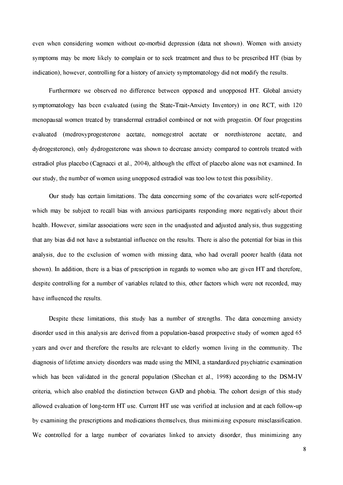even when considering women without co-morbid depression (data not shown). Women with anxiety symptoms may be more likely to complain or to seek treatment and thus to be prescribed HT (bias by indication), however, controlling for a history of anxiety symptomatology did not modify the results.

Furthermore we observed no difference between opposed and unopposed HT. Global anxiety symptomatology has been evaluated (using the State-Trait-Anxiety Inventory) in one RCT, with 120 menopausal women treated by transdermal estradiol combined or not with progestin. Of four progestins evaluated (medroxyprogesterone acetate, nomegestrol acetate or norethisterone acetate, and dydrogesterone), only dydrogesterone was shown to decrease anxiety compared to controls treated with estradiol plus placebo (Cagnacci et al., 2004), although the effect of placebo alone was not examined. In our study, the number of women using unopposed estradiol was too low to test this possibility.

Our study has certain limitations. The data concerning some of the covariates were self-reported which may be subject to recall bias with anxious participants responding more negatively about their health. However, similar associations were seen in the unadjusted and adjusted analysis, thus suggesting that any bias did not have a substantial influence on the results. There is also the potential for bias in this analysis, due to the exclusion of women with missing data, who had overall poorer health (data not shown). In addition, there is a bias of prescription in regards to women who are given HT and therefore, despite controlling for a number of variables related to this, other factors which were not recorded, may have influenced the results.

Despite these limitations, this study has a number of strengths. The data concerning anxiety disorder used in this analysis are derived from a population-based prospective study of women aged 65 vears and over and therefore the results are relevant to elderly women living in the community. The diagnosis of lifetime anxiety disorders was made using the MINI, a standardized psychiatric examination which has been validated in the general population (Sheehan et al., 1998) according to the DSM-IV criteria, which also enabled the distinction between GAD and phobia. The cohort design of this study allowed evaluation of long-term HT use. Current HT use was verified at inclusion and at each follow-up by examining the prescriptions and medications themselves, thus minimizing exposure misclassification. We controlled for a large number of covariates linked to anxiety disorder, thus minimizing any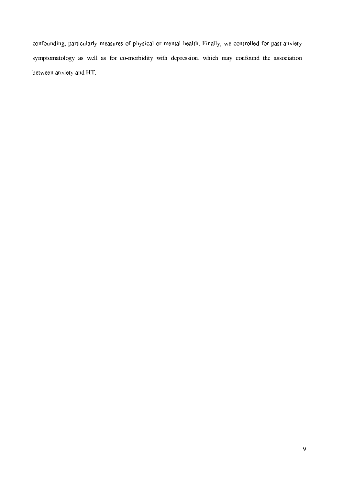confounding, particularly measures of physical or mental health. Finally, we controlled for past anxiety symptomatology as well as for co-morbidity with depression, which may confound the association between anxiety and HT.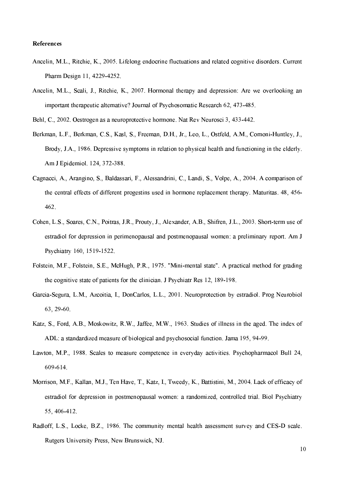## **References**

- Ancelin, M.L., Ritchie, K., 2005. Lifelong endocrine fluctuations and related cognitive disorders. Current Pharm Design 11, 4229-4252.
- Ancelin, M.L., Scali, J., Ritchie, K., 2007. Hormonal therapy and depression: Are we overlooking an important therapeutic alternative? Journal of Psychosomatic Research 62, 473-485.
- Behl, C., 2002. Oestrogen as a neuroprotective hormone. Nat Rev Neurosci 3, 433-442.
- Berkman, L.F., Berkman, C.S., Kasl, S., Freeman, D.H., Jr., Leo, L., Ostfeld, A.M., Cornoni-Huntley, J., Brody, J.A., 1986. Depressive symptoms in relation to physical health and functioning in the elderly. Am J Epidemiol. 124, 372-388.
- Cagnacci, A., Arangino, S., Baldassari, F., Alessandrini, C., Landi, S., Volpe, A., 2004. A comparison of the central effects of different progestins used in hormone replacement therapy. Maturitas, 48, 456-462.
- Cohen, L.S., Soares, C.N., Poitras, J.R., Prouty, J., Alexander, A.B., Shifren, J.L., 2003. Short-term use of estradiol for depression in perimenopausal and postmenopausal women: a preliminary report. Am J Psychiatry 160, 1519-1522.
- Folstein, M.F., Folstein, S.E., McHugh, P.R., 1975. "Mini-mental state". A practical method for grading the cognitive state of patients for the clinician. J Psychiatr Res 12, 189-198.
- Garcia-Segura, L.M., Azcoitia, I., DonCarlos, L.L., 2001. Neuroprotection by estradiol. Prog Neurobiol 63, 29-60.
- Katz, S., Ford, A.B., Moskowitz, R.W., Jaffee, M.W., 1963. Studies of illness in the aged. The index of ADL: a standardized measure of biological and psychosocial function. Jama 195, 94-99.
- Lawton, M.P., 1988. Scales to measure competence in everyday activities. Psychopharmacol Bull 24, 609-614
- Morrison, M.F., Kallan, M.J., Ten Have, T., Katz, I., Tweedy, K., Battistini, M., 2004, Lack of efficacy of estradiol for depression in postmenopausal women: a randomized, controlled trial. Biol Psychiatry 55, 406-412.
- Radloff, L.S., Locke, B.Z., 1986. The community mental health assessment survey and CES-D scale. Rutgers University Press, New Brunswick, NJ.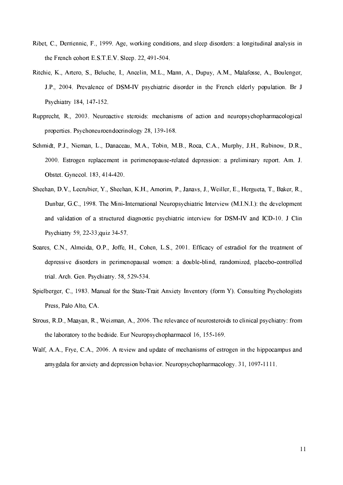- Ribet, C., Derriennic, F., 1999. Age, working conditions, and sleep disorders: a longitudinal analysis in the French cohort E.S.T.E.V. Sleep. 22, 491-504.
- Ritchie, K., Artero, S., Beluche, I., Ancelin, M.L., Mann, A., Dupuy, A.M., Malafosse, A., Boulenger, J.P., 2004. Prevalence of DSM-IV psychiatric disorder in the French elderly population. Br J Psychiatry 184, 147-152
- Rupprecht, R., 2003. Neuroactive steroids: mechanisms of action and neuropsychopharmacological properties. Psychoneuroendocrinology 28, 139-168.
- Schmidt, P.J., Nieman, L., Danaceau, M.A., Tobin, M.B., Roca, C.A., Murphy, J.H., Rubinow, D.R., 2000. Estrogen replacement in perimenopause-related depression: a preliminary report. Am. J. Obstet, Gynecol, 183, 414-420.
- Sheehan, D.V., Lecrubier, Y., Sheehan, K.H., Amorim, P., Janays, J., Weiller, E., Hergueta, T., Baker, R., Dunbar, G.C., 1998. The Mini-International Neuropsychiatric Interview (M.I.N.I.): the development and validation of a structured diagnostic psychiatric interview for DSM-IV and ICD-10. J Clin Psychiatry 59, 22-33; quiz 34-57.
- Soares, C.N., Almeida, O.P., Joffe, H., Cohen, L.S., 2001. Efficacy of estradiol for the treatment of depressive disorders in perimenopausal women: a double-blind, randomized, placebo-controlled trial. Arch. Gen. Psychiatry. 58, 529-534.
- Spielberger, C., 1983. Manual for the State-Trait Anxiety Inventory (form Y). Consulting Psychologists Press, Palo Alto, CA.
- Strous, R.D., Maayan, R., Weizman, A., 2006. The relevance of neurosteroids to clinical psychiatry: from the laboratory to the bedside. Eur Neuropsychopharmacol 16, 155-169.
- Walf, A.A., Frye, C.A., 2006. A review and update of mechanisms of estrogen in the hippocampus and amygdala for anxiety and depression behavior. Neuropsychopharmacology, 31, 1097-1111.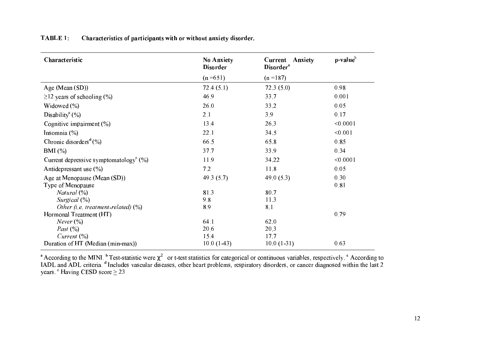| <b>TABLE 1:</b> | Characteristics of participants with or without anxiety disorder. |
|-----------------|-------------------------------------------------------------------|
|-----------------|-------------------------------------------------------------------|

| Characteristic                                        | <b>No Anxiety</b><br><b>Disorder</b> | Current<br><b>Anxiety</b><br>Disorder <sup>a</sup> | p-value <sup>b</sup> |  |
|-------------------------------------------------------|--------------------------------------|----------------------------------------------------|----------------------|--|
|                                                       | $(n=651)$                            | $(n=187)$                                          |                      |  |
| Age (Mean (SD))                                       | 72.4(5.1)                            | 72.3(5.0)                                          | 0.98                 |  |
| $\geq$ 12 years of schooling (%)                      | 46.9                                 | 33.7                                               | 0.001                |  |
| Widowed $(\% )$                                       | 26.0                                 | 33.2                                               | 0.05                 |  |
| Disability <sup>c</sup> (%)                           | 2.1                                  | 3.9                                                | 0.17                 |  |
| Cognitive impairment (%)                              | 13.4                                 | 26.3                                               | < 0.0001             |  |
| Insomnia $(\% )$                                      | 22.1                                 | 34.5                                               | < 0.001              |  |
| Chronic disorders <sup>d</sup> $(\%)$                 | 66.5                                 | 65.8                                               | 0.85                 |  |
| $BMI(\%)$                                             | 37.7                                 | 33.9                                               | 0.34                 |  |
| Current depressive symptomatology <sup>e</sup> $(\%)$ | 11.9                                 | 34.22                                              | < 0.0001             |  |
| Antidepressant use $(\% )$                            | 7.2                                  | 11.8                                               | 0.05                 |  |
| Age at Menopause (Mean (SD))                          | 49.3 $(5.7)$                         | 49.0 $(5.3)$                                       | 0.30                 |  |
| Type of Menopause                                     |                                      |                                                    | 0.81                 |  |
| Natural $(\%)$                                        | 81.3                                 | 80.7                                               |                      |  |
| Surgical (%)                                          | 9.8                                  | 11.3                                               |                      |  |
| Other (i.e. treatment-related) $(\%)$                 | 8.9                                  | 8.1                                                |                      |  |
| Hormonal Treatment (HT)                               |                                      |                                                    | 0.79                 |  |
| <i>Never</i> $(\%)$                                   | 64.1                                 | 62.0                                               |                      |  |
| Past $(\%)$                                           | 20.6                                 | 20.3                                               |                      |  |
| Current $(\%)$                                        | 15.4                                 | 17.7                                               |                      |  |
| Duration of HT (Median (min-max))                     | $10.0(1-43)$                         | $10.0(1-31)$                                       | 0.63                 |  |

<sup>a</sup> According to the MINI. <sup>b</sup> Test-statistic were  $\chi^2$  or t-test statistics for categorical or continuous variables, respectively. <sup>c</sup> According to IADL and ADL criteria. <sup>d</sup> Includes vascular diseases, other heart pro